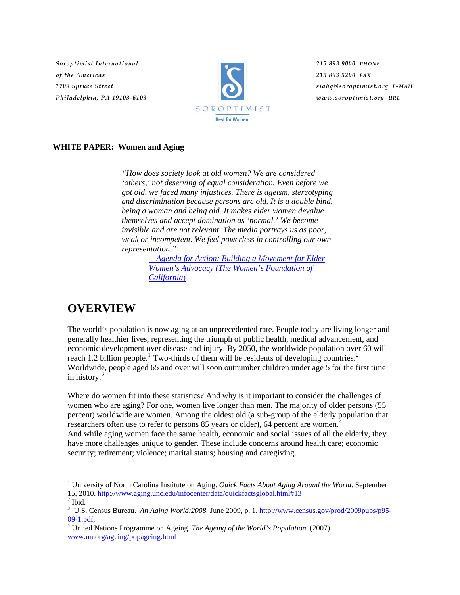*Soroptimist International of the Americas 1709 Spruce Street Philadelphia, PA 19103-6103*



*215 893 9000 PHONE 215 893 5200 FAX siahq@soroptimist.org E-MAIL www.soroptimist.org URL*

#### **WHITE PAPER: Women and Aging**

*"How does society look at old women? We are considered 'others,' not deserving of equal consideration. Even before we got old, we faced many injustices. There is ageism, stereotyping and discrimination because persons are old. It is a double bind, being a woman and being old. It makes elder women devalue themselves and accept domination as 'normal.' We become invisible and are not relevant. The media portrays us as poor, weak or incompetent. We feel powerless in controlling our own representation."*

> *[-- Agenda for Action: Building a Movement for Elder](http://www.womensfoundca.org/atf/cf/%7BF4E8B0D2-94CD-4B29-B9F4-FEE4BA76EAE1%7D/elder_women_report%20FINAL.pdf)  [Women's Advocacy \(The Women's Foundation of](http://www.womensfoundca.org/atf/cf/%7BF4E8B0D2-94CD-4B29-B9F4-FEE4BA76EAE1%7D/elder_women_report%20FINAL.pdf)  [California](http://www.womensfoundca.org/atf/cf/%7BF4E8B0D2-94CD-4B29-B9F4-FEE4BA76EAE1%7D/elder_women_report%20FINAL.pdf)*)

# **OVERVIEW**

The world's population is now aging at an unprecedented rate. People today are living longer and generally healthier lives, representing the triumph of public health, medical advancement, and economic development over disease and injury. By 2050, the worldwide population over 60 will reach [1](#page-0-0).[2](#page-0-1) billion people.<sup>1</sup> Two-thirds of them will be residents of developing countries.<sup>2</sup> Worldwide, people aged 65 and over will soon outnumber children under age 5 for the first time in history.<sup>[3](#page-0-2)</sup>

Where do women fit into these statistics? And why is it important to consider the challenges of women who are aging? For one, women live longer than men. The majority of older persons (55 percent) worldwide are women. Among the oldest old (a sub-group of the elderly population that researchers often use to refer to persons 85 years or older), 6[4](#page-0-3) percent are women.<sup>4</sup> And while aging women face the same health, economic and social issues of all the elderly, they have more challenges unique to gender. These include concerns around health care; economic security; retirement; violence; marital status; housing and caregiving.

<span id="page-0-0"></span><sup>&</sup>lt;sup>1</sup> University of North Carolina Institute on Aging. *Quick Facts About Aging Around the World*. September 15, 2010.<http://www.aging.unc.edu/infocenter/data/quickfactsglobal.html#13> <sup>2</sup>

<span id="page-0-1"></span> $<sup>2</sup>$  Ibid.</sup>

<span id="page-0-2"></span><sup>&</sup>lt;sup>3</sup> U.S. Census Bureau. *An Aging World:2008.* June 2009, p. 1. [http://www.census.gov/prod/2009pubs/p95-](http://www.census.gov/prod/2009pubs/p95-09-1.pdf)  $09-1.pdf$ .

<span id="page-0-3"></span>United Nations Programme on Ageing. *The Ageing of the World's Population*. (2007). [www.un.org/ageing/popageing.html](http://www.un.org/ageing/popageing.html)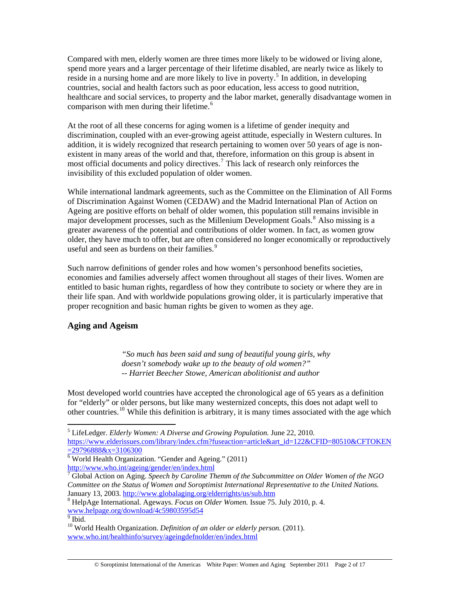Compared with men, elderly women are three times more likely to be widowed or living alone, spend more years and a larger percentage of their lifetime disabled, are nearly twice as likely to reside in a nursing home and are more likely to live in poverty.<sup>[5](#page-1-0)</sup> In addition, in developing countries, social and health factors such as poor education, less access to good nutrition, healthcare and social services, to property and the labor market, generally disadvantage women in comparison with men during their lifetime.<sup>[6](#page-1-1)</sup>

At the root of all these concerns for aging women is a lifetime of gender inequity and discrimination, coupled with an ever-growing ageist attitude, especially in Western cultures. In addition, it is widely recognized that research pertaining to women over 50 years of age is nonexistent in many areas of the world and that, therefore, information on this group is absent in most official documents and policy directives.<sup>[7](#page-1-2)</sup> This lack of research only reinforces the invisibility of this excluded population of older women.

While international landmark agreements, such as the Committee on the Elimination of All Forms of Discrimination Against Women (CEDAW) and the Madrid International Plan of Action on Ageing are positive efforts on behalf of older women, this population still remains invisible in major development processes, such as the Millenium Development Goals.<sup>[8](#page-1-3)</sup> Also missing is a greater awareness of the potential and contributions of older women. In fact, as women grow older, they have much to offer, but are often considered no longer economically or reproductively useful and seen as burdens on their families.<sup>[9](#page-1-4)</sup>

Such narrow definitions of gender roles and how women's personhood benefits societies, economies and families adversely affect women throughout all stages of their lives. Women are entitled to basic human rights, regardless of how they contribute to society or where they are in their life span. And with worldwide populations growing older, it is particularly imperative that proper recognition and basic human rights be given to women as they age.

#### **Aging and Ageism**

*"So much has been said and sung of beautiful young girls, why doesn't somebody wake up to the beauty of old women?" -- Harriet Beecher Stowe, American abolitionist and author*

Most developed world countries have accepted the chronological age of 65 years as a definition for "elderly" or older persons, but like many westernized concepts, this does not adapt well to other countries.<sup>[10](#page-1-5)</sup> While this definition is arbitrary, it is many times associated with the age which

<span id="page-1-0"></span><sup>5</sup> LifeLedger. *Elderly Women: A Diverse and Growing Population.* June 22, 2010. [https://www.elderissues.com/library/index.cfm?fuseaction=article&art\\_id=122&CFID=80510&CFTOKEN](https://www.elderissues.com/library/index.cfm?fuseaction=article&art_id=122&CFID=80510&CFTOKEN=29796888&x=3106300)  $=29796888&x=3106300$ 

<span id="page-1-1"></span><sup>&</sup>lt;sup>6</sup> World Health Organization. "Gender and Ageing." (2011) <http://www.who.int/ageing/gender/en/index.html>

<span id="page-1-2"></span><sup>7</sup> Global Action on Aging. *Speech by Caroline Themm of the Subcommittee on Older Women of the NGO Committee on the Status of Women and Soroptimist International Representative to the United Nations.*  January 13, 2003. <http://www.globalaging.org/elderrights/us/sub.htm>8

<span id="page-1-3"></span>HelpAge International. Ageways. *Focus on Older Women.* Issue 75. July 2010, p. 4. [www.helpage.org/download/4c59803595d54](http://www.helpage.org/download/4c59803595d54) 9 Ibid.

<span id="page-1-4"></span>

<span id="page-1-5"></span><sup>10</sup> World Health Organization. *Definition of an older or elderly person.* (2011). [www.who.int/healthinfo/survey/ageingdefnolder/en/index.html](http://www.who.int/healthinfo/survey/ageingdefnolder/en/index.html)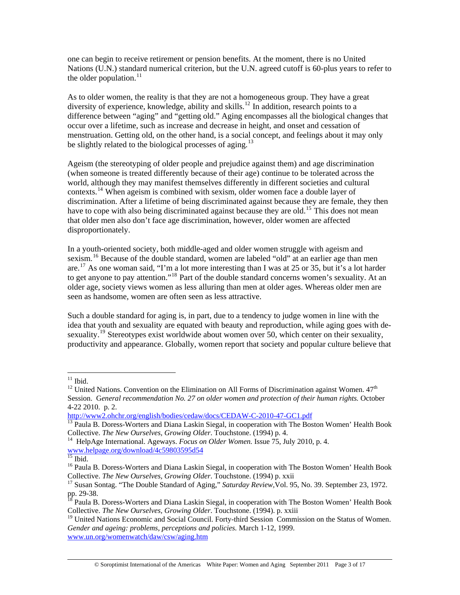one can begin to receive retirement or pension benefits. At the moment, there is no United Nations (U.N.) standard numerical criterion, but the U.N. agreed cutoff is 60-plus years to refer to the older population. $11$ 

As to older women, the reality is that they are not a homogeneous group. They have a great diversity of experience, knowledge, ability and skills.<sup>[12](#page-2-1)</sup> In addition, research points to a difference between "aging" and "getting old." Aging encompasses all the biological changes that occur over a lifetime, such as increase and decrease in height, and onset and cessation of menstruation. Getting old, on the other hand, is a social concept, and feelings about it may only be slightly related to the biological processes of aging.<sup>[13](#page-2-2)</sup>

Ageism (the stereotyping of older people and prejudice against them) and age discrimination (when someone is treated differently because of their age) continue to be tolerated across the world, although they may manifest themselves differently in different societies and cultural contexts.<sup>[14](#page-2-3)</sup> When ageism is combined with sexism, older women face a double layer of discrimination. After a lifetime of being discriminated against because they are female, they then have to cope with also being discriminated against because they are old.<sup>[15](#page-2-4)</sup> This does not mean that older men also don't face age discrimination, however, older women are affected disproportionately.

In a youth-oriented society, both middle-aged and older women struggle with ageism and sexism.<sup>[16](#page-2-5)</sup> Because of the double standard, women are labeled "old" at an earlier age than men are.<sup>[17](#page-2-6)</sup> As one woman said, "I'm a lot more interesting than I was at 25 or 35, but it's a lot harder to get anyone to pay attention."[18](#page-2-7) Part of the double standard concerns women's sexuality. At an older age, society views women as less alluring than men at older ages. Whereas older men are seen as handsome, women are often seen as less attractive.

Such a double standard for aging is, in part, due to a tendency to judge women in line with the idea that youth and sexuality are equated with beauty and reproduction, while aging goes with de-sexuality.<sup>[19](#page-2-8)</sup> Stereotypes exist worldwide about women over 50, which center on their sexuality, productivity and appearance. Globally, women report that society and popular culture believe that

 $11$  Ibid.

<span id="page-2-1"></span><span id="page-2-0"></span><sup>&</sup>lt;sup>12</sup> United Nations. Convention on the Elimination on All Forms of Discrimination against Women.  $47<sup>th</sup>$ Session. G*eneral recommendation No. 27 on older women and protection of their human rights.* October 4-22 2010. p. 2.

<http://www2.ohchr.org/english/bodies/cedaw/docs/CEDAW-C-2010-47-GC1.pdf>

<span id="page-2-2"></span><sup>&</sup>lt;sup>13</sup> Paula B. Doress-Worters and Diana Laskin Siegal, in cooperation with The Boston Women' Health Book Collective. *The New Ourselves, Growing Older*. Touchstone. (1994) p. 4. 14 HelpAge International. Ageways. *Focus on Older Women.* Issue 75, July 2010, p. 4.

<span id="page-2-3"></span>[www.helpage.org/download/4c59803595d54 15](http://www.helpage.org/download/4c59803595d54) Ibid.

<span id="page-2-5"></span><span id="page-2-4"></span><sup>&</sup>lt;sup>16</sup> Paula B. Doress-Worters and Diana Laskin Siegal, in cooperation with The Boston Women' Health Book Collective. *The New Ourselves, Growing Older*. Touchstone. (1994) p. xxii 17 Susan Sontag. "The Double Standard of Aging," *Saturday Review,*Vol. 95, No. 39. September 23, 1972.

<span id="page-2-6"></span>pp. 29-38.

<span id="page-2-7"></span><sup>&</sup>lt;sup>18</sup> Paula B. Doress-Worters and Diana Laskin Siegal, in cooperation with The Boston Women' Health Book Collective. *The New Ourselves, Growing Older*. Touchstone. (1994). p. xxiii

<span id="page-2-8"></span><sup>&</sup>lt;sup>19</sup> United Nations Economic and Social Council. Forty-third Session Commission on the Status of Women. *Gender and ageing: problems, perceptions and policies.* March 1-12, 1999. [www.un.org/womenwatch/daw/csw/aging.htm](http://www.un.org/womenwatch/daw/csw/aging.htm)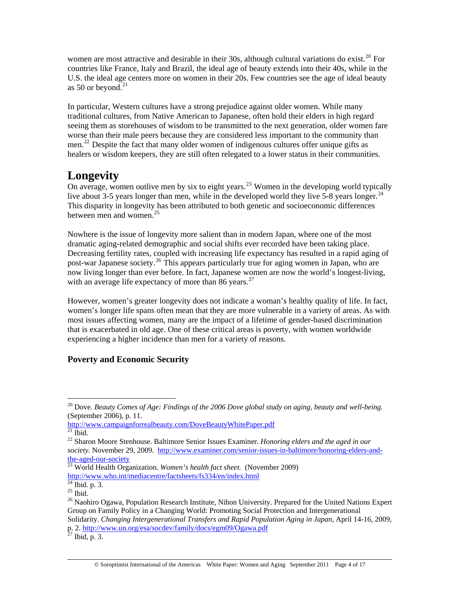women are most attractive and desirable in their 30s, although cultural variations do exist.<sup>[20](#page-3-0)</sup> For countries like France, Italy and Brazil, the ideal age of beauty extends into their 40s, while in the U.S. the ideal age centers more on women in their 20s. Few countries see the age of ideal beauty as 50 or beyond.<sup>[21](#page-3-1)</sup>

In particular, Western cultures have a strong prejudice against older women. While many traditional cultures, from Native American to Japanese, often hold their elders in high regard seeing them as storehouses of wisdom to be transmitted to the next generation, older women fare worse than their male peers because they are considered less important to the community than men.<sup>[22](#page-3-2)</sup> Despite the fact that many older women of indigenous cultures offer unique gifts as healers or wisdom keepers, they are still often relegated to a lower status in their communities.

# **Longevity**

On average, women outlive men by six to eight years.<sup>[23](#page-3-3)</sup> Women in the developing world typically live about 3-5 years longer than men, while in the developed world they live 5-8 years longer.<sup>[24](#page-3-4)</sup> This disparity in longevity has been attributed to both genetic and socioeconomic differences between men and women.<sup>[25](#page-3-5)</sup>

Nowhere is the issue of longevity more salient than in modern Japan, where one of the most dramatic aging-related demographic and social shifts ever recorded have been taking place. Decreasing fertility rates, coupled with increasing life expectancy has resulted in a rapid aging of post-war Japanese society.<sup>[26](#page-3-6)</sup> This appears particularly true for aging women in Japan, who are now living longer than ever before. In fact, Japanese women are now the world's longest-living, with an average life expectancy of more than  $86$  years.<sup>[27](#page-3-7)</sup>

However, women's greater longevity does not indicate a woman's healthy quality of life. In fact, women's longer life spans often mean that they are more vulnerable in a variety of areas. As with most issues affecting women, many are the impact of a lifetime of gender-based discrimination that is exacerbated in old age. One of these critical areas is poverty, with women worldwide experiencing a higher incidence than men for a variety of reasons.

## **Poverty and Economic Security**

<http://www.campaignforrealbeauty.com/DoveBeautyWhitePaper.pdf>  $^{21}$  Ibid.

<span id="page-3-0"></span><sup>&</sup>lt;sup>20</sup> Dove. *Beauty Comes of Age: Findings of the 2006 Dove global study on aging, beauty and well-being.* (September 2006), p. 11.

<span id="page-3-2"></span><span id="page-3-1"></span><sup>22</sup> Sharon Moore Stenhouse. Baltimore Senior Issues Examiner. *Honoring elders and the aged in our society.* November 29, 2009. [http://www.examiner.com/senior-issues-in-baltimore/honoring-elders-and](http://www.examiner.com/senior-issues-in-baltimore/honoring-elders-and-the-aged-our-society)[the-aged-our-society](http://www.examiner.com/senior-issues-in-baltimore/honoring-elders-and-the-aged-our-society)

<span id="page-3-3"></span><sup>23</sup> World Health Organization. *Women's health fact sheet.* (November 2009) <http://www.who.int/mediacentre/factsheets/fs334/en/index.html> 24 Ibid. p. 3.

<span id="page-3-5"></span><span id="page-3-4"></span> $^{25}$  Ibid.

<span id="page-3-6"></span><sup>&</sup>lt;sup>26</sup> Naohiro Ogawa, Population Research Institute, Nihon University. Prepared for the United Nations Expert Group on Family Policy in a Changing World: Promoting Social Protection and Intergenerational Solidarity. *Changing Intergenerational Transfers and Rapid Population Aging in Japan*, April 14-16, 2009, p. 2.<http://www.un.org/esa/socdev/family/docs/egm09/Ogawa.pdf> 27 Ibid, p. 3.

<span id="page-3-7"></span>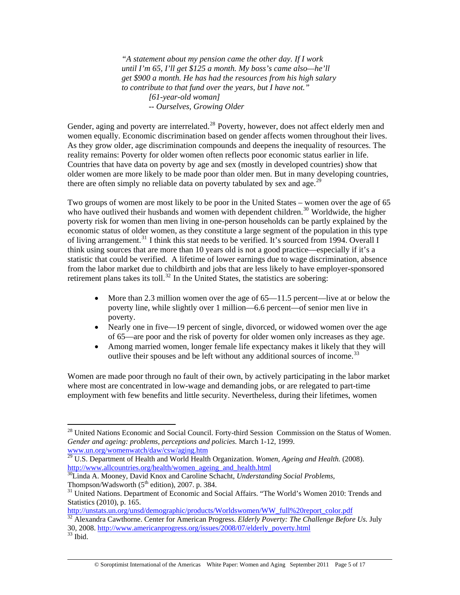*"A statement about my pension came the other day. If I work until I'm 65, I'll get \$125 a month. My boss's came also—he'll get \$900 a month. He has had the resources from his high salary to contribute to that fund over the years, but I have not." [61-year-old woman] -- Ourselves, Growing Older*

Gender, aging and poverty are interrelated.<sup>[28](#page-4-0)</sup> Poverty, however, does not affect elderly men and women equally. Economic discrimination based on gender affects women throughout their lives. As they grow older, age discrimination compounds and deepens the inequality of resources. The reality remains: Poverty for older women often reflects poor economic status earlier in life. Countries that have data on poverty by age and sex (mostly in developed countries) show that older women are more likely to be made poor than older men. But in many developing countries, there are often simply no reliable data on poverty tabulated by sex and age.<sup>[29](#page-4-1)</sup>

Two groups of women are most likely to be poor in the United States – women over the age of 65 who have outlived their husbands and women with dependent children.<sup>[30](#page-4-2)</sup> Worldwide, the higher poverty risk for women than men living in one-person households can be partly explained by the economic status of older women, as they constitute a large segment of the population in this type of living arrangement.<sup>[31](#page-4-3)</sup> I think this stat needs to be verified. It's sourced from 1994. Overall I think using sources that are more than 10 years old is not a good practice—especially if it's a statistic that could be verified. A lifetime of lower earnings due to wage discrimination, absence from the labor market due to childbirth and jobs that are less likely to have employer-sponsored retirement plans takes its toll.<sup>[32](#page-4-4)</sup> In the United States, the statistics are sobering:

- More than 2.3 million women over the age of  $65-11.5$  percent—live at or below the poverty line, while slightly over 1 million—6.6 percent—of senior men live in poverty.
- Nearly one in five—19 percent of single, divorced, or widowed women over the age of 65—are poor and the risk of poverty for older women only increases as they age.
- Among married women, longer female life expectancy makes it likely that they will outlive their spouses and be left without any additional sources of income.<sup>[33](#page-4-5)</sup>

Women are made poor through no fault of their own, by actively participating in the labor market where most are concentrated in low-wage and demanding jobs, or are relegated to part-time employment with few benefits and little security. Nevertheless, during their lifetimes, women

[http://unstats.un.org/unsd/demographic/products/Worldswomen/WW\\_full%20report\\_color.pdf](http://unstats.un.org/unsd/demographic/products/Worldswomen/WW_full%20report_color.pdf)

<span id="page-4-0"></span><sup>&</sup>lt;sup>28</sup> United Nations Economic and Social Council. Forty-third Session Commission on the Status of Women. *Gender and ageing: problems, perceptions and policies.* March 1-12, 1999. [www.un.org/womenwatch/daw/csw/aging.htm](http://www.un.org/womenwatch/daw/csw/aging.htm)

<sup>29</sup> U.S. Department of Health and World Health Organization. *Women, Ageing and Health.* (2008).

<span id="page-4-2"></span><span id="page-4-1"></span>[http://www.allcountries.org/health/women\\_ageing\\_and\\_health.html](http://www.allcountries.org/health/women_ageing_and_health.html) <sup>[30](http://www.allcountries.org/health/women_ageing_and_health.html)</sup>Linda A. Mooney, David Knox and Caroline Schacht, *Understanding Social Problems*, Thompson/Wadsworth (5<sup>th</sup> edition), 2007. p. 384.

<span id="page-4-3"></span><sup>&</sup>lt;sup>31</sup> United Nations. Department of Economic and Social Affairs. "The World's Women 2010: Trends and Statistics (2010), p. 165.

<span id="page-4-4"></span><sup>&</sup>lt;sup>32</sup> Alexandra Cawthorne. Center for American Progress. *Elderly Poverty: The Challenge Before Us.* July 30, 2008. [http://www.americanprogress.org/issues/2008/07/elderly\\_poverty.html](http://www.americanprogress.org/issues/2008/07/elderly_poverty.html) 33 Ibid.

<span id="page-4-5"></span>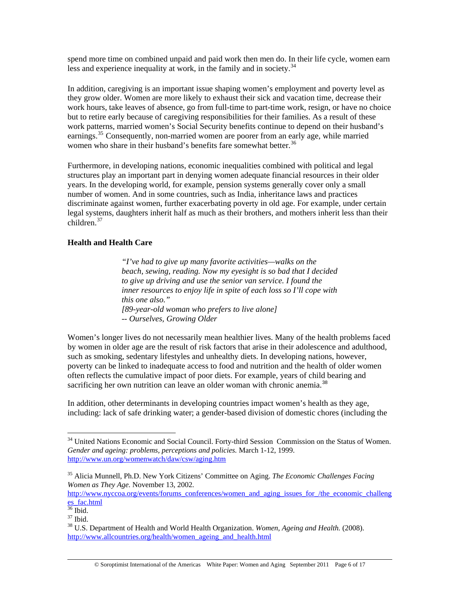spend more time on combined unpaid and paid work then men do. In their life cycle, women earn less and experience inequality at work, in the family and in society.  $34$ 

In addition, caregiving is an important issue shaping women's employment and poverty level as they grow older. Women are more likely to exhaust their sick and vacation time, decrease their work hours, take leaves of absence, go from full-time to part-time work, resign, or have no choice but to retire early because of caregiving responsibilities for their families. As a result of these work patterns, married women's Social Security benefits continue to depend on their husband's earnings.<sup>[35](#page-5-1)</sup> Consequently, non-married women are poorer from an early age, while married women who share in their husband's benefits fare somewhat better.<sup>[36](#page-5-2)</sup>

Furthermore, in developing nations, economic inequalities combined with political and legal structures play an important part in denying women adequate financial resources in their older years. In the developing world, for example, pension systems generally cover only a small number of women. And in some countries, such as India, inheritance laws and practices discriminate against women, further exacerbating poverty in old age. For example, under certain legal systems, daughters inherit half as much as their brothers, and mothers inherit less than their  $children.<sup>37</sup>$  $children.<sup>37</sup>$  $children.<sup>37</sup>$ 

#### **Health and Health Care**

*"I've had to give up many favorite activities—walks on the beach, sewing, reading. Now my eyesight is so bad that I decided to give up driving and use the senior van service. I found the inner resources to enjoy life in spite of each loss so I'll cope with this one also." [89-year-old woman who prefers to live alone] -- Ourselves, Growing Older* 

Women's longer lives do not necessarily mean healthier lives. Many of the health problems faced by women in older age are the result of risk factors that arise in their adolescence and adulthood, such as smoking, sedentary lifestyles and unhealthy diets. In developing nations, however, poverty can be linked to inadequate access to food and nutrition and the health of older women often reflects the cumulative impact of poor diets. For example, years of child bearing and sacrificing her own nutrition can leave an older woman with chronic anemia.<sup>[38](#page-5-4)</sup>

In addition, other determinants in developing countries impact women's health as they age, including: lack of safe drinking water; a gender-based division of domestic chores (including the

<span id="page-5-0"></span><sup>&</sup>lt;sup>34</sup> United Nations Economic and Social Council. Forty-third Session Commission on the Status of Women. *Gender and ageing: problems, perceptions and policies.* March 1-12, 1999. <http://www.un.org/womenwatch/daw/csw/aging.htm>

<span id="page-5-1"></span><sup>35</sup> Alicia Munnell, Ph.D. New York Citizens' Committee on Aging. *The Economic Challenges Facing Women as They Age.* November 13, 2002.

[http://www.nyccoa.org/events/forums\\_conferences/women\\_and\\_aging\\_issues\\_for\\_/the\\_economic\\_challeng](http://www.nyccoa.org/events/forums_conferences/women_and_aging_issues_for_/the_economic_challenges_fac.html) [es\\_fac.html](http://www.nyccoa.org/events/forums_conferences/women_and_aging_issues_for_/the_economic_challenges_fac.html)

<sup>36</sup> Ibid.

<span id="page-5-3"></span><span id="page-5-2"></span><sup>37</sup> Ibid.

<span id="page-5-4"></span><sup>38</sup> U.S. Department of Health and World Health Organization. *Women, Ageing and Health.* (2008). [http://www.allcountries.org/health/women\\_ageing\\_and\\_health.html](http://www.allcountries.org/health/women_ageing_and_health.html)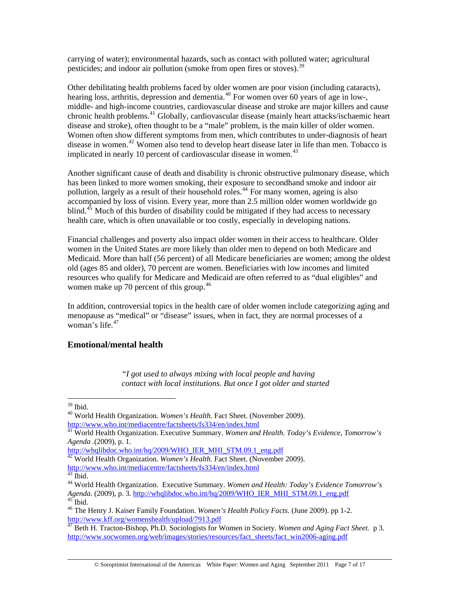carrying of water); environmental hazards, such as contact with polluted water; agricultural pesticides; and indoor air pollution (smoke from open fires or stoves).<sup>[39](#page-6-0)</sup>

Other debilitating health problems faced by older women are poor vision (including cataracts), hearing loss, arthritis, depression and dementia.<sup>[40](#page-6-1)</sup> For women over 60 years of age in low-, middle- and high-income countries, cardiovascular disease and stroke are major killers and cause chronic health problems.[41](#page-6-2) Globally, cardiovascular disease (mainly heart attacks/ischaemic heart disease and stroke), often thought to be a "male" problem, is the main killer of older women. Women often show different symptoms from men, which contributes to under-diagnosis of heart disease in women.<sup>[42](#page-6-3)</sup> Women also tend to develop heart disease later in life than men. Tobacco is implicated in nearly 10 percent of cardiovascular disease in women.<sup>[43](#page-6-4)</sup>

Another significant cause of death and disability is chronic obstructive pulmonary disease, which has been linked to more women smoking, their exposure to secondhand smoke and indoor air pollution, largely as a result of their household roles.<sup>[44](#page-6-5)</sup> For many women, ageing is also accompanied by loss of vision. Every year, more than 2.5 million older women worldwide go blind.<sup>[45](#page-6-6)</sup> Much of this burden of disability could be mitigated if they had access to necessary health care, which is often unavailable or too costly, especially in developing nations.

Financial challenges and poverty also impact older women in their access to healthcare. Older women in the United States are more likely than older men to depend on both Medicare and Medicaid. More than half (56 percent) of all Medicare beneficiaries are women; among the oldest old (ages 85 and older), 70 percent are women. Beneficiaries with low incomes and limited resources who qualify for Medicare and Medicaid are often referred to as "dual eligibles" and women make up 70 percent of this group. $46$ 

In addition, controversial topics in the health care of older women include categorizing aging and menopause as "medical" or "disease" issues, when in fact, they are normal processes of a woman's life. $47$ 

#### **Emotional/mental health**

*"I got used to always mixing with local people and having contact with local institutions. But once I got older and started* 

<span id="page-6-0"></span><sup>39</sup> Ibid.

<sup>40</sup> World Health Organization. *Women's Health.* Fact Sheet. (November 2009).

<span id="page-6-2"></span><span id="page-6-1"></span><http://www.who.int/mediacentre/factsheets/fs334/en/index.html> 41 World Health Organization. Executive Summary. *Women and Health. Today's Evidence, Tomorrow's Agenda .*(2009), p. 1.

[http://whqlibdoc.who.int/hq/2009/WHO\\_IER\\_MHI\\_STM.09.1\\_eng.pdf](http://whqlibdoc.who.int/hq/2009/WHO_IER_MHI_STM.09.1_eng.pdf)

<span id="page-6-3"></span><sup>&</sup>lt;sup>42</sup> World Health Organization. *Women's Health*. Fact Sheet. (November 2009).

<http://www.who.int/mediacentre/factsheets/fs334/en/index.html> 43 Ibid.

<span id="page-6-5"></span><span id="page-6-4"></span><sup>44</sup> World Health Organization. Executive Summary. *Women and Health: Today's Evidence Tomorrow's Agenda.* (2009), p. 3. [http://whqlibdoc.who.int/hq/2009/WHO\\_IER\\_MHI\\_STM.09.1\\_eng.pdf](http://whqlibdoc.who.int/hq/2009/WHO_IER_MHI_STM.09.1_eng.pdf) <sup>45</sup> Ibid.

<span id="page-6-7"></span><span id="page-6-6"></span><sup>46</sup> The Henry J. Kaiser Family Foundation. *Women's Health Policy Facts.* (June 2009). pp 1-2. <http://www.kff.org/womenshealth/upload/7913.pdf>

<span id="page-6-8"></span><sup>47</sup> Beth H. Tracton-Bishop, Ph.D. Sociologists for Women in Society. *Women and Aging Fact Sheet.* p 3. [http://www.socwomen.org/web/images/stories/resources/fact\\_sheets/fact\\_win2006-aging.pdf](http://www.socwomen.org/web/images/stories/resources/fact_sheets/fact_win2006-aging.pdf)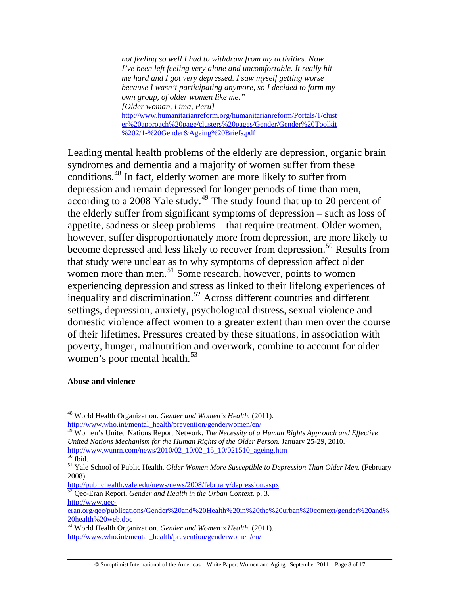*not feeling so well I had to withdraw from my activities. Now I've been left feeling very alone and uncomfortable. It really hit me hard and I got very depressed. I saw myself getting worse because I wasn't participating anymore, so I decided to form my own group, of older women like me." [Older woman, Lima, Peru]*  [http://www.humanitarianreform.org/humanitarianreform/Portals/1/clust](http://www.humanitarianreform.org/humanitarianreform/Portals/1/cluster%20approach%20page/clusters%20pages/Gender/Gender%20Toolkit%202/1-%20Gender&Ageing%20Briefs.pdf) [er%20approach%20page/clusters%20pages/Gender/Gender%20Toolkit](http://www.humanitarianreform.org/humanitarianreform/Portals/1/cluster%20approach%20page/clusters%20pages/Gender/Gender%20Toolkit%202/1-%20Gender&Ageing%20Briefs.pdf) [%202/1-%20Gender&Ageing%20Briefs.pdf](http://www.humanitarianreform.org/humanitarianreform/Portals/1/cluster%20approach%20page/clusters%20pages/Gender/Gender%20Toolkit%202/1-%20Gender&Ageing%20Briefs.pdf)

Leading mental health problems of the elderly are depression, organic brain syndromes and dementia and a majority of women suffer from these conditions.[48](#page-7-0) In fact, elderly women are more likely to suffer from depression and remain depressed for longer periods of time than men, according to a 2008 Yale study.<sup>[49](#page-7-1)</sup> The study found that up to 20 percent of the elderly suffer from significant symptoms of depression – such as loss of appetite, sadness or sleep problems – that require treatment. Older women, however, suffer disproportionately more from depression, are more likely to become depressed and less likely to recover from depression.<sup>[50](#page-7-2)</sup> Results from that study were unclear as to why symptoms of depression affect older women more than men.<sup>[51](#page-7-3)</sup> Some research, however, points to women experiencing depression and stress as linked to their lifelong experiences of inequality and discrimination.<sup>[52](#page-7-4)</sup> Across different countries and different settings, depression, anxiety, psychological distress, sexual violence and domestic violence affect women to a greater extent than men over the course of their lifetimes. Pressures created by these situations, in association with poverty, hunger, malnutrition [an](#page-7-5)d overwork, combine to account for older women's poor mental health.<sup>[53](#page-7-5)</sup>

#### **Abuse and violence**

 $\overline{a}$ 

<span id="page-7-4"></span>[http://www.qec-](http://www.qec-eran.org/qec/publications/Gender%20and%20Health%20in%20the%20urban%20context/gender%20and%20health%20web.doc)

<span id="page-7-0"></span><sup>48</sup> World Health Organization. *Gender and Women's Health.* (2011). [http://www.who.int/mental\\_health/prevention/genderwomen/en/](http://www.who.int/mental_health/prevention/genderwomen/en/)

<span id="page-7-1"></span><sup>49</sup> Women's United Nations Report Network. *The Necessity of a Human Rights Approach and Effective United Nations Mechanism for the Human Rights of the Older Person.* January 25-29, 2010. [http://www.wunrn.com/news/2010/02\\_10/02\\_15\\_10/021510\\_ageing.htm](http://www.wunrn.com/news/2010/02_10/02_15_10/021510_ageing.htm)

 $50$  Ibid.

<span id="page-7-3"></span><span id="page-7-2"></span><sup>&</sup>lt;sup>51</sup> Yale School of Public Health. *Older Women More Susceptible to Depression Than Older Men*. (February 2008).<br>http://publichealth.yale.edu/news/news/2008/february/depression.aspx

<sup>&</sup>lt;sup>52</sup> Qec-Eran Report. *Gender and Health in the Urban Context*. p. 3.

[eran.org/qec/publications/Gender%20and%20Health%20in%20the%20urban%20context/gender%20and%](http://www.qec-eran.org/qec/publications/Gender%20and%20Health%20in%20the%20urban%20context/gender%20and%20health%20web.doc) [20health%20web.doc](http://www.qec-eran.org/qec/publications/Gender%20and%20Health%20in%20the%20urban%20context/gender%20and%20health%20web.doc)

<span id="page-7-5"></span><sup>53</sup> World Health Organization. *Gender and Women's Health.* (2011). [http://www.who.int/mental\\_health/prevention/genderwomen/en/](http://www.who.int/mental_health/prevention/genderwomen/en/)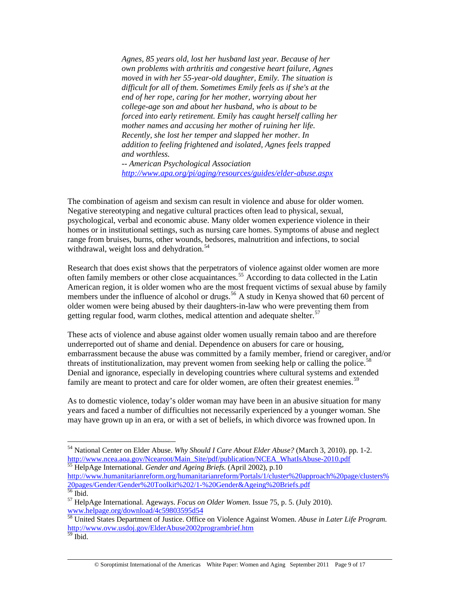*Agnes, 85 years old, lost her husband last year. Because of her own problems with arthritis and congestive heart failure, Agnes moved in with her 55-year-old daughter, Emily. The situation is difficult for all of them. Sometimes Emily feels as if she's at the end of her rope, caring for her mother, worrying about her college-age son and about her husband, who is about to be forced into early retirement. Emily has caught herself calling her mother names and accusing her mother of ruining her life. Recently, she lost her temper and slapped her mother. In addition to feeling frightened and isolated, Agnes feels trapped and worthless. -- American Psychological Association* 

*<http://www.apa.org/pi/aging/resources/guides/elder-abuse.aspx>*

The combination of ageism and sexism can result in violence and abuse for older women. Negative stereotyping and negative cultural practices often lead to physical, sexual, psychological, verbal and economic abuse. Many older women experience violence in their homes or in institutional settings, such as nursing care homes. Symptoms of abuse and neglect range from bruises, burns, other wounds, bedsores, malnutrition and infections, to social withdrawal, weight loss and dehydration. $54$ 

Research that does exist shows that the perpetrators of violence against older women are more often family members or other close acquaintances.<sup>[55](#page-8-1)</sup> According to data collected in the Latin American region, it is older women who are the most frequent victims of sexual abuse by family members under the influence of alcohol or drugs.<sup>[56](#page-8-2)</sup> A study in Kenya showed that 60 percent of older women were being abused by their daughters-in-law who were preventing them from getting regular food, warm clothes, medical attention and adequate shelter.<sup>[57](#page-8-3)</sup>

These acts of violence and abuse against older women usually remain taboo and are therefore underreported out of shame and denial. Dependence on abusers for care or housing, embarrassment because the abuse was committed by a family member, friend or caregiver, and/or threats of institutionalization, may prevent women from seeking help or calling the police.<sup>[58](#page-8-4)</sup> Denial and ignorance, especially in developing countries where cultural systems and extended family are meant to protect and care for older women, are often their greatest enemies.<sup>[59](#page-8-5)</sup>

As to domestic violence, today's older woman may have been in an abusive situation for many years and faced a number of difficulties not necessarily experienced by a younger woman. She may have grown up in an era, or with a set of beliefs, in which divorce was frowned upon. In

<span id="page-8-1"></span>[http://www.humanitarianreform.org/humanitarianreform/Portals/1/cluster%20approach%20page/clusters%](http://www.humanitarianreform.org/humanitarianreform/Portals/1/cluster%20approach%20page/clusters%20pages/Gender/Gender%20Toolkit%202/1-%20Gender&Ageing%20Briefs.pdf) [20pages/Gender/Gender%20Toolkit%202/1-%20Gender&Ageing%20Briefs.pdf](http://www.humanitarianreform.org/humanitarianreform/Portals/1/cluster%20approach%20page/clusters%20pages/Gender/Gender%20Toolkit%202/1-%20Gender&Ageing%20Briefs.pdf)

<span id="page-8-0"></span><sup>54</sup> National Center on Elder Abuse. *Why Should I Care About Elder Abuse?* (March 3, 2010). pp. 1-2. [http://www.ncea.aoa.gov/Ncearoot/Main\\_Site/pdf/publication/NCEA\\_WhatIsAbuse-2010.pdf](http://www.ncea.aoa.gov/Ncearoot/Main_Site/pdf/publication/NCEA_WhatIsAbuse-2010.pdf) 55 HelpAge International. *Gender and Ageing Briefs.* (April 2002), p.10

<span id="page-8-2"></span> $56$  Ibid.

<span id="page-8-3"></span><sup>57</sup> HelpAge International. Ageways. *Focus on Older Women.* Issue 75, p. 5. (July 2010). [www.helpage.org/download/4c59803595d54 58](http://www.helpage.org/download/4c59803595d54) United States Department of Justice. Office on Violence Against Women. *Abuse in Later Life Program.*

<span id="page-8-4"></span><http://www.ovw.usdoj.gov/ElderAbuse2002programbrief.htm>

<span id="page-8-5"></span> $59$  Ibid.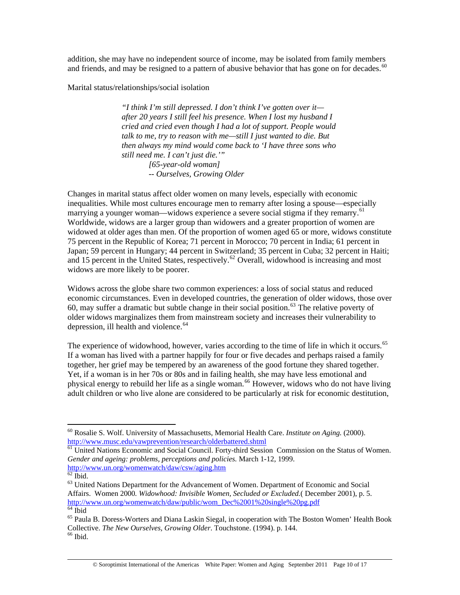addition, she may have no independent source of income, may be isolated from family members and friends, and may be resigned to a pattern of abusive behavior that has gone on for decades.<sup>[60](#page-9-0)</sup>

Marital status/relationships/social isolation

*"I think I'm still depressed. I don't think I've gotten over it after 20 years I still feel his presence. When I lost my husband I cried and cried even though I had a lot of support. People would talk to me, try to reason with me—still I just wanted to die. But then always my mind would come back to 'I have three sons who still need me. I can't just die.'" [65-year-old woman] -- Ourselves, Growing Older* 

Changes in marital status affect older women on many levels, especially with economic inequalities. While most cultures encourage men to remarry after losing a spouse—especially marrying a younger woman—widows experience a severe social stigma if they remarry.<sup>[61](#page-9-1)</sup> Worldwide, widows are a larger group than widowers and a greater proportion of women are widowed at older ages than men. Of the proportion of women aged 65 or more, widows constitute 75 percent in the Republic of Korea; 71 percent in Morocco; 70 percent in India; 61 percent in Japan; 59 percent in Hungary; 44 percent in Switzerland; 35 percent in Cuba; 32 percent in Haiti; and 15 percent in the United States, respectively.<sup>[62](#page-9-2)</sup> Overall, widowhood is increasing and most widows are more likely to be poorer.

Widows across the globe share two common experiences: a loss of social status and reduced economic circumstances. Even in developed countries, the generation of older widows, those over 60, may suffer a dramatic but subtle change in their social position.<sup>[63](#page-9-3)</sup> The relative poverty of older widows marginalizes them from mainstream society and increases their vulnerability to depression, ill health and violence. $64$ 

The experience of widowhood, however, varies according to the time of life in which it occurs.<sup>[65](#page-9-5)</sup> If a woman has lived with a partner happily for four or five decades and perhaps raised a family together, her grief may be tempered by an awareness of the good fortune they shared together. Yet, if a woman is in her 70s or 80s and in failing health, she may have less emotional and physical energy to rebuild her life as a single woman.<sup>[66](#page-9-6)</sup> However, widows who do not have living adult children or who live alone are considered to be particularly at risk for economic destitution,

<span id="page-9-0"></span><sup>60</sup> Rosalie S. Wolf. University of Massachusetts, Memorial Health Care. *Institute on Aging.* (2000). <http://www.musc.edu/vawprevention/research/olderbattered.shtml><br><sup>61</sup> United Nations Economic and Social Council. Forty-third Session Commission on the Status of Women.

<span id="page-9-1"></span>*Gender and ageing: problems, perceptions and policies.* March 1-12, 1999. [http://www.un.org/womenwatch/daw/csw/aging.htm 62](http://www.un.org/womenwatch/daw/csw/aging.htm) Ibid.

<span id="page-9-3"></span><span id="page-9-2"></span> $63$  United Nations Department for the Advancement of Women. Department of Economic and Social Affairs. Women 2000*. Widowhood: Invisible Women, Secluded or Excluded.*( December 2001), p. 5. [http://www.un.org/womenwatch/daw/public/wom\\_Dec%2001%20single%20pg.pdf](http://www.un.org/womenwatch/daw/public/wom_Dec%2001%20single%20pg.pdf) 64 Ibid

<span id="page-9-6"></span><span id="page-9-5"></span><span id="page-9-4"></span><sup>65</sup> Paula B. Doress-Worters and Diana Laskin Siegal, in cooperation with The Boston Women' Health Book Collective. *The New Ourselves, Growing Older*. Touchstone. (1994). p. 144. 66 Ibid.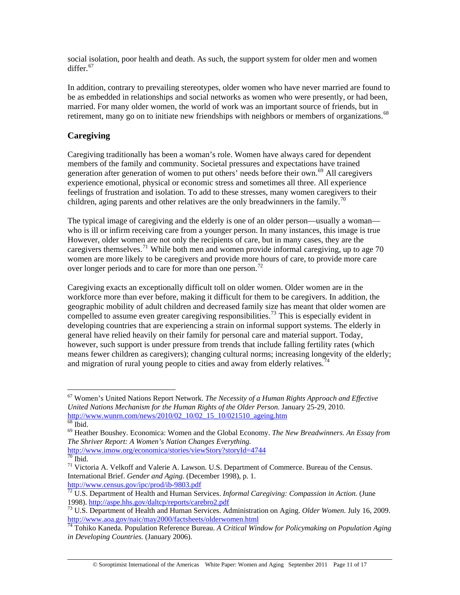social isolation, poor health and death. As such, the support system for older men and women differ. $67$ 

In addition, contrary to prevailing stereotypes, older women who have never married are found to be as embedded in relationships and social networks as women who were presently, or had been, married. For many older women, the world of work was an important source of friends, but in retirement, many go on to initiate new friendships with neighbors or members of organizations.<sup>[68](#page-10-1)</sup>

### **Caregiving**

Caregiving traditionally has been a woman's role. Women have always cared for dependent members of the family and community. Societal pressures and expectations have trained generation after generation of women to put others' needs before their own.<sup>[69](#page-10-2)</sup> All caregivers experience emotional, physical or economic stress and sometimes all three. All experience feelings of frustration and isolation. To add to these stresses, many women caregivers to their children, aging parents and other relatives are the only breadwinners in the family.<sup>[70](#page-10-3)</sup>

The typical image of caregiving and the elderly is one of an older person—usually a woman who is ill or infirm receiving care from a younger person. In many instances, this image is true However, older women are not only the recipients of care, but in many cases, they are the caregivers themselves.<sup>[71](#page-10-4)</sup> While both men and women provide informal caregiving, up to age 70 women are more likely to be caregivers and provide more hours of care, to provide more care over longer periods and to care for more than one person.<sup>[72](#page-10-5)</sup>

Caregiving exacts an exceptionally difficult toll on older women. Older women are in the workforce more than ever before, making it difficult for them to be caregivers. In addition, the geographic mobility of adult children and decreased family size has meant that older women are compelled to assume even greater caregiving responsibilities.<sup>[73](#page-10-6)</sup> This is especially evident in developing countries that are experiencing a strain on informal support systems. The elderly in general have relied heavily on their family for personal care and material support. Today, however, such support is under pressure from trends that include falling fertility rates (which means fewer children as caregivers); changing cultural norms; increasing longevity of the elderly; and migration of rural young people to cities and away from elderly relatives.<sup>[74](#page-10-7)</sup>

 $\overline{a}$ 

<span id="page-10-5"></span>72 U.S. Department of Health and Human Services. *Informal Caregiving: Compassion in Action.* (June

<span id="page-10-0"></span><sup>67</sup> Women's United Nations Report Network. *The Necessity of a Human Rights Approach and Effective United Nations Mechanism for the Human Rights of the Older Person.* January 25-29, 2010. [http://www.wunrn.com/news/2010/02\\_10/02\\_15\\_10/021510\\_ageing.htm](http://www.wunrn.com/news/2010/02_10/02_15_10/021510_ageing.htm) <sup>[68](http://www.wunrn.com/news/2010/02_10/02_15_10/021510_ageing.htm)</sup> Ibid.

<span id="page-10-2"></span><span id="page-10-1"></span><sup>69</sup> Heather Boushey. Economica: Women and the Global Economy. *The New Breadwinners. An Essay from The Shriver Report: A Women's Nation Changes Everything.*

<http://www.imow.org/economica/stories/viewStory?storyId=4744> 70 Ibid.

<span id="page-10-4"></span><span id="page-10-3"></span><sup>&</sup>lt;sup>71</sup> Victoria A. Velkoff and Valerie A. Lawson. U.S. Department of Commerce. Bureau of the Census. International Brief. *Gender and Aging.* (December 1998), p. 1. <http://www.census.gov/ipc/prod/ib-9803.pdf>

<span id="page-10-6"></span><sup>1998).</sup><http://aspe.hhs.gov/daltcp/reports/carebro2.pdf> 73 U.S. Department of Health and Human Services. Administration on Aging. *Older Women.* July 16, 2009. <http://www.aoa.gov/naic/may2000/factsheets/olderwomen.html>

<span id="page-10-7"></span><sup>74</sup> Tohiko Kaneda. Population Reference Bureau. *A Critical Window for Policymaking on Population Aging in Developing Countries.* (January 2006).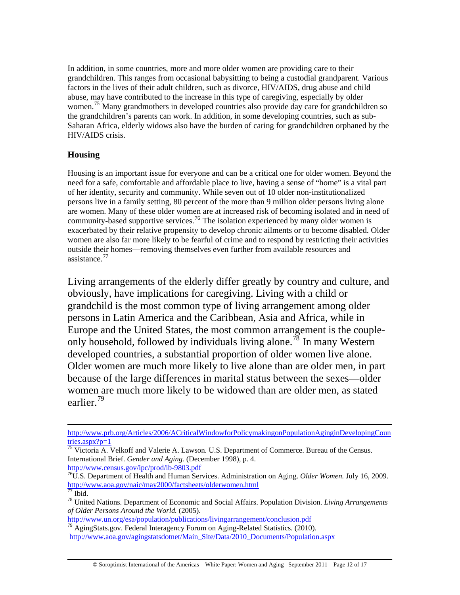In addition, in some countries, more and more older women are providing care to their grandchildren. This ranges from occasional babysitting to being a custodial grandparent. Various factors in the lives of their adult children, such as divorce, HIV/AIDS, drug abuse and child abuse, may have contributed to the increase in this type of caregiving, especially by older women.<sup>[75](#page-11-0)</sup> Many grandmothers in developed countries also provide day care for grandchildren so the grandchildren's parents can work. In addition, in some developing countries, such as sub-Saharan Africa, elderly widows also have the burden of caring for grandchildren orphaned by the HIV/AIDS crisis.

## **Housing**

Housing is an important issue for everyone and can be a critical one for older women. Beyond the need for a safe, comfortable and affordable place to live, having a sense of "home" is a vital part of her identity, security and community. While seven out of 10 older non-institutionalized persons live in a family setting, 80 percent of the more than 9 million older persons living alone are women. Many of these older women are at increased risk of becoming isolated and in need of community-based supportive services.<sup>[76](#page-11-1)</sup> The isolation experienced by many older women is exacerbated by their relative propensity to develop chronic ailments or to become disabled. Older women are also far more likely to be fearful of crime and to respond by restricting their activities outside their homes—removing themselves even further from available resources and assistance.<sup>[77](#page-11-2)</sup>

Living arrangements of the elderly differ greatly by country and culture, and obviously, have implications for caregiving. Living with a child or grandchild is the most common type of living arrangement among older persons in Latin America and the Caribbean, Asia and Africa, while in Europe and the United States, the most common arrangement is the couple-only household, followed by individuals living alone.<sup>[78](#page-11-3)</sup> In many Western developed countries, a substantial proportion of older women live alone. Older women are much more likely to live alone than are older men, in part because of the large differences in marital status between the sexes—older women are much more likely to be widowed than are older men, as stated earlier<sup>[79](#page-11-4)</sup>

[http://www.prb.org/Articles/2006/ACriticalWindowforPolicymakingonPopulationAginginDevelopingCoun](http://www.prb.org/Articles/2006/ACriticalWindowforPolicymakingonPopulationAginginDevelopingCountries.aspx?p=1) [tries.aspx?p=1](http://www.prb.org/Articles/2006/ACriticalWindowforPolicymakingonPopulationAginginDevelopingCountries.aspx?p=1)

<span id="page-11-0"></span> $\frac{75}{75}$  Victoria A. Velkoff and Valerie A. Lawson. U.S. Department of Commerce. Bureau of the Census. International Brief. *Gender and Aging*. (December 1998), p. 4.<br>http://www.census.gov/ipc/prod/ib-9803.pdf

<span id="page-11-1"></span><sup>&</sup>lt;sup>[76](http://www.census.gov/ipc/prod/ib-9803.pdf)</sup>U.S. Department of Health and Human Services. Administration on Aging. *Older Women*. July 16, 2009. [http://www.aoa.gov/naic/may2000/factsheets/olderwomen.html 77](http://www.aoa.gov/naic/may2000/factsheets/olderwomen.html) Ibid.

<span id="page-11-3"></span><span id="page-11-2"></span><sup>78</sup> United Nations. Department of Economic and Social Affairs. Population Division. *Living Arrangements of Older Persons Around the World.* (2005).

<span id="page-11-4"></span> $\frac{1}{79}$  AgingStats.gov. Federal Interagency Forum on Aging-Related Statistics. (2010). [http://www.aoa.gov/agingstatsdotnet/Main\\_Site/Data/2010\\_Documents/Population.aspx](http://www.aoa.gov/agingstatsdotnet/Main_Site/Data/2010_Documents/Population.aspx)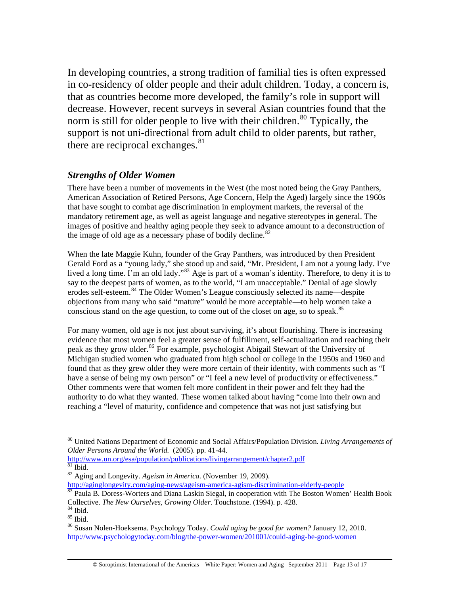In developing countries, a strong tradition of familial ties is often expressed in co-residency of older people and their adult children. Today, a concern is, that as countries become more developed, the family's role in support will decrease. However, recent surveys in several Asian countries found that the norm is still for older people to live with their children.<sup>[80](#page-12-0)</sup> Typically, the support is not uni-directional fro[m](#page-12-1) adult child to older parents, but rather, there are reciprocal exchanges. $81$ 

## *Strengths of Older Women*

There have been a number of movements in the West (the most noted being the Gray Panthers, American Association of Retired Persons, Age Concern, Help the Aged) largely since the 1960s that have sought to combat age discrimination in employment markets, the reversal of the mandatory retirement age, as well as ageist language and negative stereotypes in general. The images of positive and healthy aging people they seek to advance amount to a deconstruction of the image of old age as a necessary phase of bodily decline. $82$ 

When the late Maggie Kuhn, founder of the Gray Panthers, was introduced by then President Gerald Ford as a "young lady," she stood up and said, "Mr. President, I am not a young lady. I've lived a long time. I'm an old lady."<sup>[83](#page-12-3)</sup> Age is part of a woman's identity. Therefore, to deny it is to say to the deepest parts of women, as to the world, "I am unacceptable." Denial of age slowly erodes self-esteem.<sup>[84](#page-12-4)</sup> The Older Women's League consciously selected its name—despite objections from many who said "mature" would be more acceptable—to help women take a conscious stand on the age question, to come out of the closet on age, so to speak.<sup>[85](#page-12-5)</sup>

For many women, old age is not just about surviving, it's about flourishing. There is increasing evidence that most women feel a greater sense of fulfillment, self-actualization and reaching their peak as they grow older.<sup>[86](#page-12-6)</sup> For example, psychologist Abigail Stewart of the University of Michigan studied women who graduated from high school or college in the 1950s and 1960 and found that as they grew older they were more certain of their identity, with comments such as "I have a sense of being my own person" or "I feel a new level of productivity or effectiveness." Other comments were that women felt more confident in their power and felt they had the authority to do what they wanted. These women talked about having "come into their own and reaching a "level of maturity, confidence and competence that was not just satisfying but

<span id="page-12-0"></span><sup>80</sup> United Nations Department of Economic and Social Affairs/Population Division. *Living Arrangements of Older Persons Around the World.* (2005). pp. 41-44.

<span id="page-12-1"></span><http://www.un.org/esa/population/publications/livingarrangement/chapter2.pdf> 81 Ibid.

<span id="page-12-2"></span><sup>82</sup> Aging and Longevity. *Ageism in America.* (November 19, 2009).

<http://aginglongevity.com/aging-news/ageism-america-agism-discrimination-elderly-people> <sup>83</sup> Paula B. Doress-Worters and Diana Laskin Siegal, in cooperation with The Boston Women' Health Book

<span id="page-12-3"></span>Collective. *The New Ourselves, Growing Older*. Touchstone. (1994). p. 428. <sup>84</sup> Ibid.

<span id="page-12-5"></span><span id="page-12-4"></span> $85$  Ibid.

<span id="page-12-6"></span><sup>86</sup> Susan Nolen-Hoeksema. Psychology Today. *Could aging be good for women?* January 12, 2010. <http://www.psychologytoday.com/blog/the-power-women/201001/could-aging-be-good-women>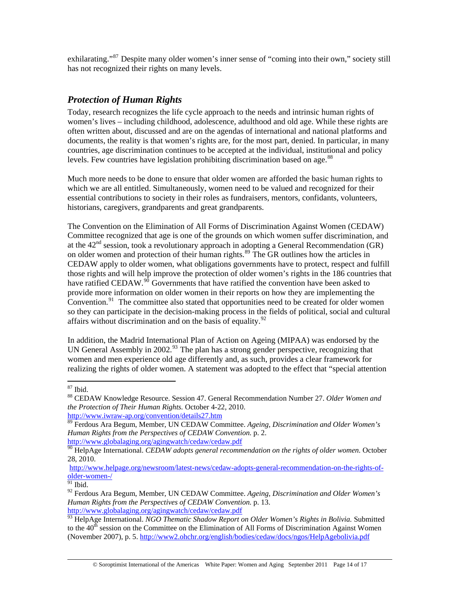exhilarating."<sup>[87](#page-13-0)</sup> Despite many older women's inner sense of "coming into their own," society still has not recognized their rights on many levels.

## *Protection of Human Rights*

Today, research recognizes the life cycle approach to the needs and intrinsic human rights of women's lives – including childhood, adolescence, adulthood and old age. While these rights are often written about, discussed and are on the agendas of international and national platforms and documents, the reality is that women's rights are, for the most part, denied. In particular, in many countries, age discrimination continues to be accepted at the individual, institutional and policy levels. Few countries have legislation prohibiting discrimination based on age.<sup>[88](#page-13-1)</sup>

Much more needs to be done to ensure that older women are afforded the basic human rights to which we are all entitled. Simultaneously, women need to be valued and recognized for their essential contributions to society in their roles as fundraisers, mentors, confidants, volunteers, historians, caregivers, grandparents and great grandparents.

The Convention on the Elimination of All Forms of Discrimination Against Women (CEDAW) Committee recognized that age is one of the grounds on which women suffer discrimination, and at the  $42<sup>nd</sup>$  session, took a revolutionary approach in adopting a General Recommendation (GR) on older women and protection of their human rights.<sup>[89](#page-13-2)</sup> The GR outlines how the articles in CEDAW apply to older women, what obligations governments have to protect, respect and fulfill those rights and will help improve the protection of older women's rights in the 186 countries that have ratified CEDAW.<sup>[90](#page-13-3)</sup> Governments that have ratified the convention have been asked to provide more information on older women in their reports on how they are implementing the Convention.<sup>[91](#page-13-4)</sup> The committee also stated that opportunities need to be created for older women so they can participate in the decision-making process in the fields of political, social and cultural affairs without discrimination and on the basis of equality.  $92$ 

In addition, the Madrid International Plan of Action on Ageing (MIPAA) was endorsed by the UN General Assembly in 2002.<sup>[93](#page-13-6)</sup> The plan has a strong gender perspective, recognizing that women and men experience old age differently and, as such, provides a clear framework for realizing the rights of older women. A statement was adopted to the effect that "special attention

 $\overline{a}$ 87 Ibid.

<span id="page-13-1"></span><span id="page-13-0"></span><sup>88</sup> CEDAW Knowledge Resource. Session 47. General Recommendation Number 27. *Older Women and the Protection of Their Human Rights.* October 4-22, 2010. <http://www.iwraw-ap.org/convention/details27.htm>

<span id="page-13-2"></span><sup>89</sup> Ferdous Ara Begum, Member, UN CEDAW Committee. *Ageing, Discrimination and Older Women's Human Rights from the Perspectives of CEDAW Convention.* p. 2. <http://www.globalaging.org/agingwatch/cedaw/cedaw.pdf>

<span id="page-13-3"></span><sup>&</sup>lt;sup>90</sup> HelpAge International. *CEDAW adopts general recommendation on the rights of older women.* October 28, 2010.

[http://www.helpage.org/newsroom/latest-news/cedaw-adopts-general-recommendation-on-the-rights-of](http://www.helpage.org/newsroom/latest-news/cedaw-adopts-general-recommendation-on-the-rights-of-older-women-/)[older-women-/](http://www.helpage.org/newsroom/latest-news/cedaw-adopts-general-recommendation-on-the-rights-of-older-women-/)

 $91$  Ibid.

<span id="page-13-5"></span><span id="page-13-4"></span><sup>92</sup> Ferdous Ara Begum, Member, UN CEDAW Committee. *Ageing, Discrimination and Older Women's Human Rights from the Perspectives of CEDAW Convention.* p. 13. <http://www.globalaging.org/agingwatch/cedaw/cedaw.pdf>

<span id="page-13-6"></span><sup>&</sup>lt;sup>93</sup> HelpAge International. *NGO Thematic Shadow Report on Older Women's Rights in Bolivia. Submitted* to the  $40<sup>th</sup>$  session on the Committee on the Elimination of All Forms of Discrimination Against Women (November 2007), p. 5.<http://www2.ohchr.org/english/bodies/cedaw/docs/ngos/HelpAgebolivia.pdf>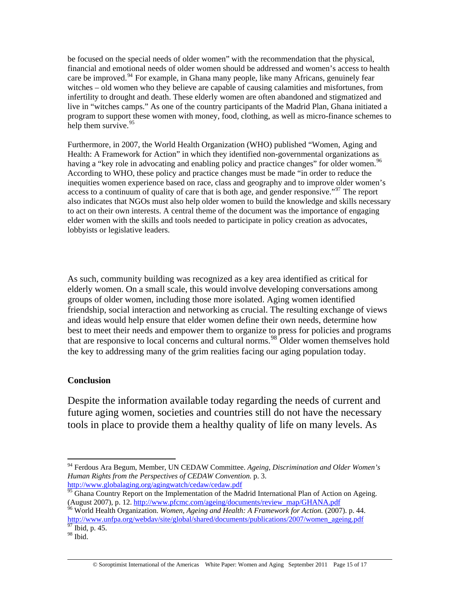be focused on the special needs of older women" with the recommendation that the physical, financial and emotional needs of older women should be addressed and women's access to health care be improved.<sup>[94](#page-14-0)</sup> For example, in Ghana many people, like many Africans, genuinely fear witches – old women who they believe are capable of causing calamities and misfortunes, from infertility to drought and death. These elderly women are often abandoned and stigmatized and live in "witches camps." As one of the country participants of the Madrid Plan, Ghana initiated a program to support these women with money, food, clothing, as well as micro-finance schemes to help them survive.  $95$ 

Furthermore, in 2007, the World Health Organization (WHO) published "Women, Aging and Health: A Framework for Action" in which they identified non-governmental organizations as having a "key role in advocating and enabling policy and practice changes" for older women.<sup>[96](#page-14-2)</sup> According to WHO, these policy and practice changes must be made "in order to reduce the inequities women experience based on race, class and geography and to improve older women's access to a continuum of quality of care that is both age, and gender responsive."<sup>[97](#page-14-3)</sup> The report also indicates that NGOs must also help older women to build the knowledge and skills necessary to act on their own interests. A central theme of the document was the importance of engaging elder women with the skills and tools needed to participate in policy creation as advocates, lobbyists or legislative leaders.

As such, community building was recognized as a key area identified as critical for elderly women. On a small scale, this would involve developing conversations among groups of older women, including those more isolated. Aging women identified friendship, social interaction and networking as crucial. The resulting exchange of views and ideas would help ensure that elder women define their own needs, determine how best to meet their needs and empower them to organize to press for policies and programs that are responsive to local concerns and cultural norms.<sup>[98](#page-14-4)</sup> Older women themselves hold the key to addressing many of the grim realities facing our aging population today.

## **Conclusion**

Despite the information available today regarding the needs of current and future aging women, societies and countries still do not have the necessary tools in place to provide them a healthy quality of life on many levels. As

<span id="page-14-0"></span> $\overline{a}$ 94 Ferdous Ara Begum, Member, UN CEDAW Committee. *Ageing, Discrimination and Older Women's Human Rights from the Perspectives of CEDAW Convention.* p. 3. <http://www.globalaging.org/agingwatch/cedaw/cedaw.pdf>

<span id="page-14-1"></span><sup>&</sup>lt;sup>95</sup> Ghana Country Report on the Implementation of the Madrid International Plan of Action on Ageing. (August 2007), p. 12. [http://www.pfcmc.com/ageing/documents/review\\_map/GHANA.pdf](http://www.pfcmc.com/ageing/documents/review_map/GHANA.pdf) 96 World Health Organization. *Women, Ageing and Health: A Framework for Action.* (2007). p. 44.

<span id="page-14-2"></span>[http://www.unfpa.org/webdav/site/global/shared/documents/publications/2007/women\\_ageing.pdf](http://www.unfpa.org/webdav/site/global/shared/documents/publications/2007/women_ageing.pdf) Tbid, p. 45.

<span id="page-14-4"></span><span id="page-14-3"></span><sup>98</sup> Ibid.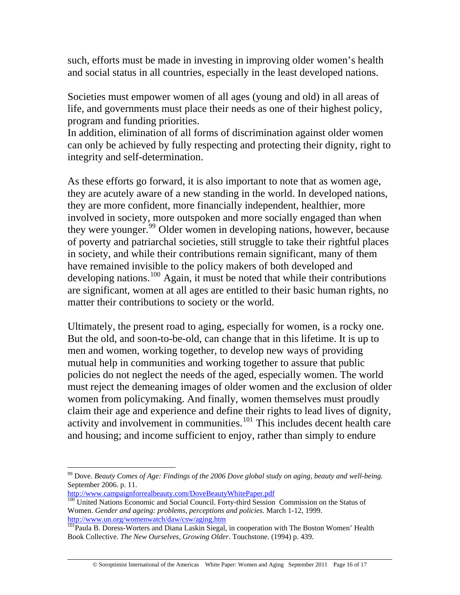such, efforts must be made in investing in improving older women's health and social status in all countries, especially in the least developed nations.

Societies must empower women of all ages (young and old) in all areas of life, and governments must place their needs as one of their highest policy, program and funding priorities.

In addition, elimination of all forms of discrimination against older women can only be achieved by fully respecting and protecting their dignity, right to integrity and self-determination.

As these efforts go forward, it is also important to note that as women age, they are acutely aware of a new standing in the world. In developed nations, they are more confident, more financially independent, healthier, more involved in society, more outspoken and more socially engaged than when they were younger.<sup>[99](#page-15-0)</sup> Older women in developing nations, however, because of poverty and patriarchal societies, still struggle to take their rightful places in society, and while their contributions remain significant, many of them have remained invisible to the policy makers of both developed and developing nations.<sup>[100](#page-15-1)</sup> Again, it must be noted that while their contributions are significant, women at all ages are entitled to their basic human rights, no matter their contributions to society or the world.

Ultimately, the present road to aging, especially for women, is a rocky one. But the old, and soon-to-be-old, can change that in this lifetime. It is up to men and women, working together, to develop new ways of providing mutual help in communities and working together to assure that public policies do not neglect the needs of the aged, especially women. The world must reject the demeaning images of older women and the exclusion of older women from policymaking. And finally, women themselves must proudly claim their age and experience and define their rights to lead lives of dignity, activity and involvement in communities.<sup>[101](#page-15-2)</sup> This includes decent health care and housing; and income sufficient to enjoy, rather than simply to endure

<span id="page-15-0"></span><sup>99</sup> Dove. *Beauty Comes of Age: Findings of the 2006 Dove global study on aging, beauty and well-being.*  September 2006. p. 11.<br>http://www.campaignforrealbeauty.com/DoveBeautyWhitePaper.pdf

<span id="page-15-1"></span> $\frac{100}{100}$  United Nations Economic and Social Council. Forty-third Session Commission on the Status of Women. *Gender and ageing: problems, perceptions and policies*. March 1-12, 1999.<br>http://www.un.org/womenwatch/daw/csw/aging.htm

<span id="page-15-2"></span><sup>&</sup>lt;sup>101</sup>Paula B. Doress-Worters and Diana Laskin Siegal, in cooperation with The Boston Women' Health Book Collective. *The New Ourselves, Growing Older*. Touchstone. (1994) p. 439.